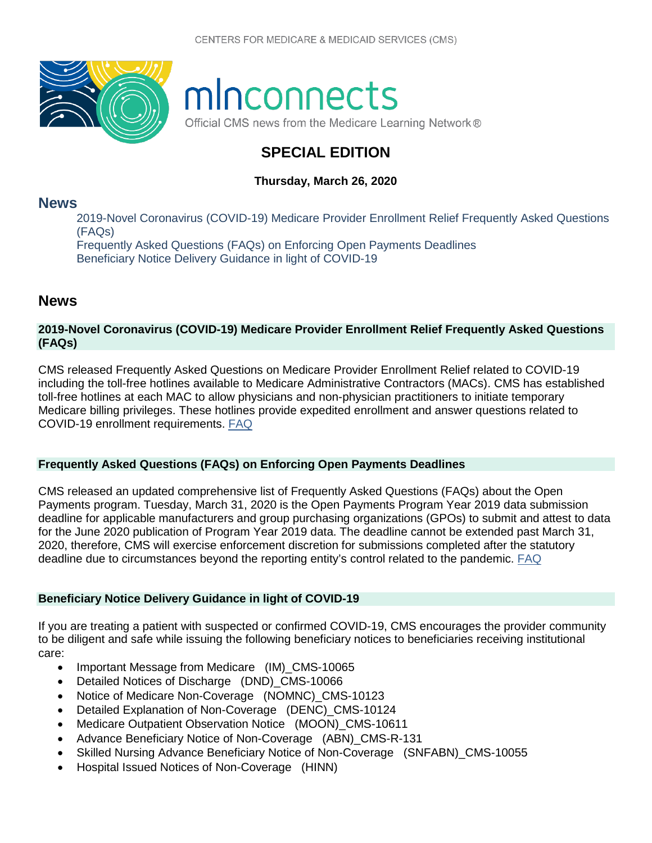

# minconnects

Official CMS news from the Medicare Learning Network®

## **SPECIAL EDITION**

## **Thursday, March 26, 2020**

## **[News](#page-0-0)**

[2019-Novel Coronavirus \(COVID-19\) Medicare Provider Enrollment Relief Frequently Asked Questions](#page-0-1)  [\(FAQs\)](#page-0-1) [Frequently Asked Questions \(FAQs\) on Enforcing Open Payments Deadlines](#page-0-2) [Beneficiary Notice Delivery Guidance in light of COVID-19](#page-0-3)

## <span id="page-0-0"></span>**News**

### <span id="page-0-1"></span>**2019-Novel Coronavirus (COVID-19) Medicare Provider Enrollment Relief Frequently Asked Questions (FAQs)**

CMS released Frequently Asked Questions on Medicare Provider Enrollment Relief related to COVID-19 including the toll-free hotlines available to Medicare Administrative Contractors (MACs). CMS has established toll-free hotlines at each MAC to allow physicians and non-physician practitioners to initiate temporary Medicare billing privileges. These hotlines provide expedited enrollment and answer questions related to COVID-19 enrollment requirements. [FAQ](https://www.cms.gov/files/document/provider-enrollment-relief-faqs-covid-19.pdf)

#### <span id="page-0-2"></span>**Frequently Asked Questions (FAQs) on Enforcing Open Payments Deadlines**

CMS released an updated comprehensive list of Frequently Asked Questions (FAQs) about the Open Payments program. Tuesday, March 31, 2020 is the Open Payments Program Year 2019 data submission deadline for applicable manufacturers and group purchasing organizations (GPOs) to submit and attest to data for the June 2020 publication of Program Year 2019 data. The deadline cannot be extended past March 31, 2020, therefore, CMS will exercise enforcement discretion for submissions completed after the statutory deadline due to circumstances beyond the reporting entity's control related to the pandemic. [FAQ](https://www.cms.gov/OpenPayments/Downloads/open-payments-general-faq.pdf)

## <span id="page-0-3"></span>**Beneficiary Notice Delivery Guidance in light of COVID-19**

If you are treating a patient with suspected or confirmed COVID-19, CMS encourages the provider community to be diligent and safe while issuing the following beneficiary notices to beneficiaries receiving institutional care:

- Important Message from Medicare (IM) CMS-10065
- Detailed Notices of Discharge (DND)\_CMS-10066
- Notice of Medicare Non-Coverage (NOMNC)\_CMS-10123
- Detailed Explanation of Non-Coverage (DENC)\_CMS-10124
- Medicare Outpatient Observation Notice (MOON) CMS-10611
- Advance Beneficiary Notice of Non-Coverage (ABN)\_CMS-R-131
- Skilled Nursing Advance Beneficiary Notice of Non-Coverage (SNFABN)\_CMS-10055
- Hospital Issued Notices of Non-Coverage (HINN)